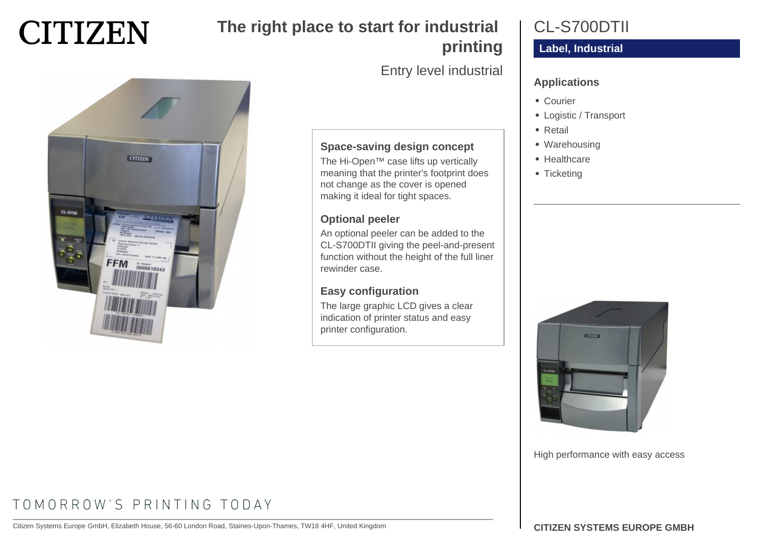

# **The right place to start for industrial printing**

Entry level industrial

### **Applications**

- Courier
- Logistic / Transport

CL-S700DTII

**Label, Industrial**

- Retail
- Warehousing
- Healthcare
- Ticketing



# **Space-saving design concept**

The Hi-Open™ case lifts up vertically meaning that the printer's footprint does not change as the cover is opened making it ideal for tight spaces.

#### **Optional peeler**

An optional peeler can be added to the CL-S700DTII giving the peel-and-present function without the height of the full liner rewinder case.

#### **Easy configuration**

The large graphic LCD gives a clear indication of printer status and easy printer configuration.



High performance with easy access

# TOMORROW'S PRINTING TODAY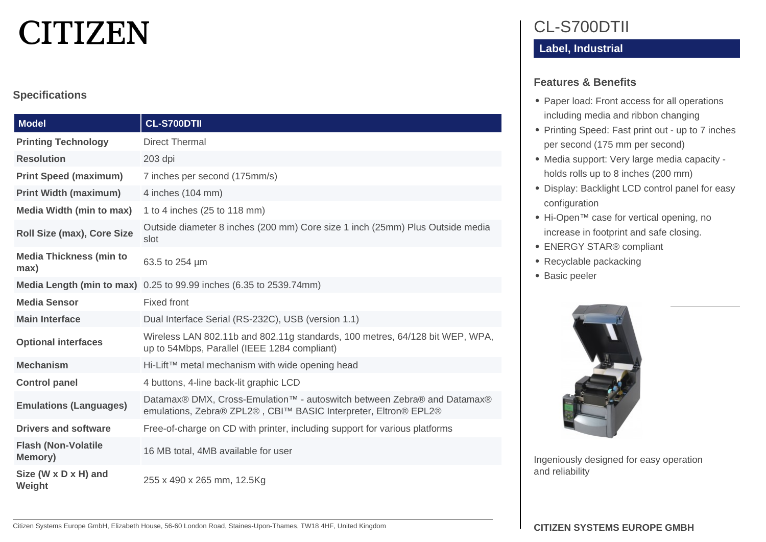# **CITIZEN**

#### **Specifications**

| <b>Model</b>                                  | <b>CL-S700DTII</b>                                                                                                                         |
|-----------------------------------------------|--------------------------------------------------------------------------------------------------------------------------------------------|
| <b>Printing Technology</b>                    | <b>Direct Thermal</b>                                                                                                                      |
| <b>Resolution</b>                             | 203 dpi                                                                                                                                    |
| <b>Print Speed (maximum)</b>                  | 7 inches per second (175mm/s)                                                                                                              |
| <b>Print Width (maximum)</b>                  | 4 inches (104 mm)                                                                                                                          |
| <b>Media Width (min to max)</b>               | 1 to 4 inches (25 to 118 mm)                                                                                                               |
| Roll Size (max), Core Size                    | Outside diameter 8 inches (200 mm) Core size 1 inch (25mm) Plus Outside media<br>slot                                                      |
| <b>Media Thickness (min to</b><br>max)        | 63.5 to 254 um                                                                                                                             |
|                                               | <b>Media Length (min to max)</b> $0.25$ to 99.99 inches (6.35 to 2539.74mm)                                                                |
| <b>Media Sensor</b>                           | <b>Fixed front</b>                                                                                                                         |
| <b>Main Interface</b>                         | Dual Interface Serial (RS-232C), USB (version 1.1)                                                                                         |
| <b>Optional interfaces</b>                    | Wireless LAN 802.11b and 802.11g standards, 100 metres, 64/128 bit WEP, WPA,<br>up to 54Mbps, Parallel (IEEE 1284 compliant)               |
| <b>Mechanism</b>                              | Hi-Lift™ metal mechanism with wide opening head                                                                                            |
| <b>Control panel</b>                          | 4 buttons, 4-line back-lit graphic LCD                                                                                                     |
| <b>Emulations (Languages)</b>                 | Datamax® DMX, Cross-Emulation™ - autoswitch between Zebra® and Datamax®<br>emulations, Zebra® ZPL2®, CBI™ BASIC Interpreter, Eltron® EPL2® |
| <b>Drivers and software</b>                   | Free-of-charge on CD with printer, including support for various platforms                                                                 |
| <b>Flash (Non-Volatile</b><br><b>Memory</b> ) | 16 MB total, 4MB available for user                                                                                                        |
| Size (W x D x H) and<br>Weight                | 255 x 490 x 265 mm, 12.5Kg                                                                                                                 |

# CL-S700DTII

### **Label, Industrial**

#### **Features & Benefits**

- Paper load: Front access for all operations including media and ribbon changing
- Printing Speed: Fast print out up to 7 inches per second (175 mm per second)
- Media support: Very large media capacity holds rolls up to 8 inches (200 mm)
- Display: Backlight LCD control panel for easy configuration
- Hi-Open™ case for vertical opening, no increase in footprint and safe closing.
- ENERGY STAR® compliant
- Recyclable packacking
- Basic peeler



Ingeniously designed for easy operation and reliability